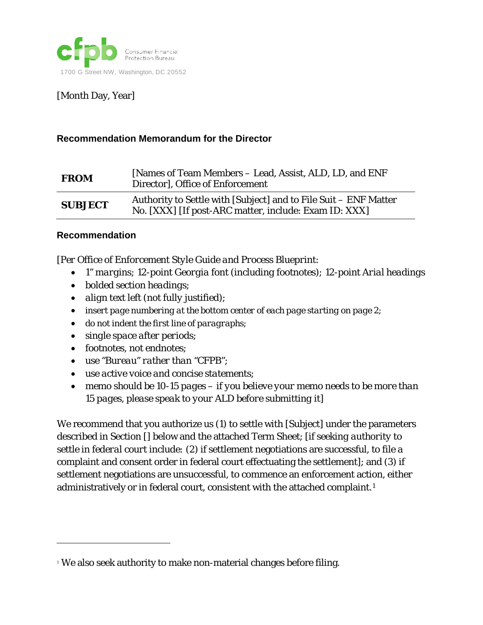

[Month Day, Year]

#### **Recommendation Memorandum for the Director**

| <b>FROM</b>    | [Names of Team Members – Lead, Assist, ALD, LD, and ENF<br>Director], Office of Enforcement                               |
|----------------|---------------------------------------------------------------------------------------------------------------------------|
| <b>SUBJECT</b> | Authority to Settle with [Subject] and to File Suit - ENF Matter<br>No. [XXX] [If post-ARC matter, include: Exam ID: XXX] |

#### **Recommendation**

1

[*Per Office of Enforcement Style Guide and Process Blueprint:* 

- *1" margins; 12-point Georgia font (including footnotes); 12-point Arial headings*
- *bolded section headings;*
- *align text left (not fully justified);*
- *insert page numbering at the bottom center of each page starting on page 2;*
- *do not indent the first line of paragraphs;*
- *single space after periods;*
- *footnotes, not endnotes;*
- *use "Bureau" rather than "CFPB";*
- *use active voice and concise statements;*
- *memo should be 10-15 pages – if you believe your memo needs to be more than 15 pages, please speak to your ALD before submitting it*]

We recommend that you authorize us (1) to settle with [Subject] under the parameters described in Section [] below and the attached Term Sheet; [*if seeking authority to settle in federal court include:* (2) if settlement negotiations are successful, to file a complaint and consent order in federal court effectuating the settlement]; and (3) if settlement negotiations are unsuccessful, to commence an enforcement action, either administratively or in federal court, consistent with the attached complaint.<sup>[1](#page-0-0)</sup>

<span id="page-0-0"></span><sup>&</sup>lt;sup>1</sup> We also seek authority to make non-material changes before filing.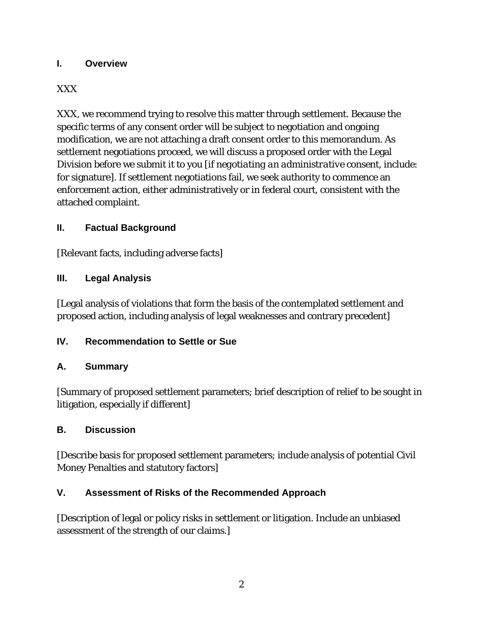# **I. Overview**

# XXX

XXX, we recommend trying to resolve this matter through settlement. Because the specific terms of any consent order will be subject to negotiation and ongoing modification, we are not attaching a draft consent order to this memorandum. As settlement negotiations proceed, we will discuss a proposed order with the Legal Division before we submit it to you [*if negotiating an administrative consent, include*: for signature]. If settlement negotiations fail, we seek authority to commence an enforcement action, either administratively or in federal court, consistent with the attached complaint.

# **II. Factual Background**

[Relevant facts, including adverse facts]

# **III. Legal Analysis**

[Legal analysis of violations that form the basis of the contemplated settlement and proposed action, including analysis of legal weaknesses and contrary precedent]

# **IV. Recommendation to Settle or Sue**

# **A. Summary**

[Summary of proposed settlement parameters; brief description of relief to be sought in litigation, especially if different]

# **B. Discussion**

[Describe basis for proposed settlement parameters; include analysis of potential Civil Money Penalties and statutory factors]

# **V. Assessment of Risks of the Recommended Approach**

[Description of legal or policy risks in settlement or litigation. Include an unbiased assessment of the strength of our claims.]